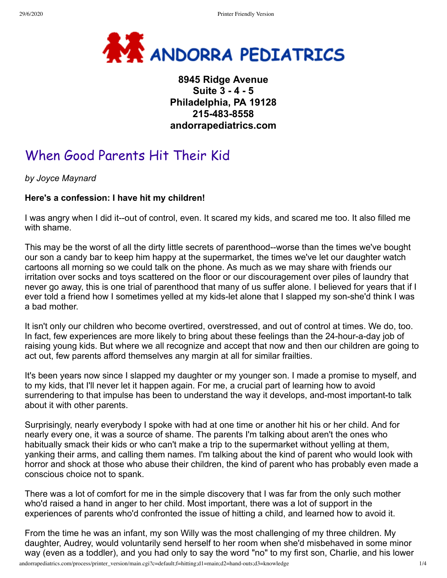

## **8945 Ridge Avenue Suite 3 - 4 - 5 Philadelphia, PA 19128 215-483-8558 andorrapediatrics.com**

# When Good Parents Hit Their Kid

*by Joyce Maynard*

## **Here's a confession: I have hit my children!**

I was angry when I did it--out of control, even. It scared my kids, and scared me too. It also filled me with shame.

This may be the worst of all the dirty little secrets of parenthood--worse than the times we've bought our son a candy bar to keep him happy at the supermarket, the times we've let our daughter watch cartoons all morning so we could talk on the phone. As much as we may share with friends our irritation over socks and toys scattered on the floor or our discouragement over piles of laundry that never go away, this is one trial of parenthood that many of us suffer alone. I believed for years that if I ever told a friend how I sometimes yelled at my kids-let alone that I slapped my son-she'd think I was a bad mother.

It isn't only our children who become overtired, overstressed, and out of control at times. We do, too. In fact, few experiences are more likely to bring about these feelings than the 24-hour-a-day job of raising young kids. But where we all recognize and accept that now and then our children are going to act out, few parents afford themselves any margin at all for similar frailties.

It's been years now since I slapped my daughter or my younger son. I made a promise to myself, and to my kids, that I'll never let it happen again. For me, a crucial part of learning how to avoid surrendering to that impulse has been to understand the way it develops, and-most important-to talk about it with other parents.

Surprisingly, nearly everybody I spoke with had at one time or another hit his or her child. And for nearly every one, it was a source of shame. The parents I'm talking about aren't the ones who habitually smack their kids or who can't make a trip to the supermarket without yelling at them, yanking their arms, and calling them names. I'm talking about the kind of parent who would look with horror and shock at those who abuse their children, the kind of parent who has probably even made a conscious choice not to spank.

There was a lot of comfort for me in the simple discovery that I was far from the only such mother who'd raised a hand in anger to her child. Most important, there was a lot of support in the experiences of parents who'd confronted the issue of hitting a child, and learned how to avoid it.

From the time he was an infant, my son Willy was the most challenging of my three children. My daughter, Audrey, would voluntarily send herself to her room when she'd misbehaved in some minor way (even as a toddler), and you had only to say the word "no" to my first son, Charlie, and his lower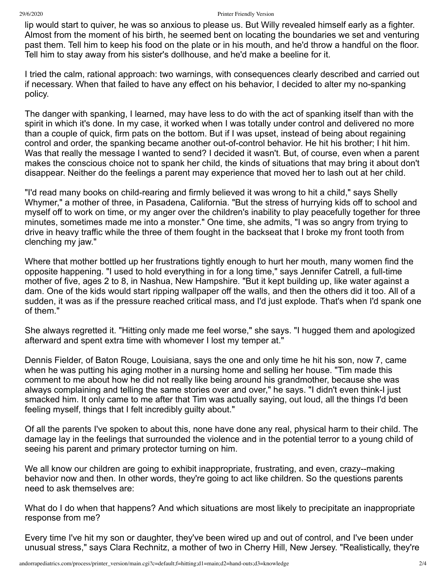lip would start to quiver, he was so anxious to please us. But Willy revealed himself early as a fighter. Almost from the moment of his birth, he seemed bent on locating the boundaries we set and venturing past them. Tell him to keep his food on the plate or in his mouth, and he'd throw a handful on the floor. Tell him to stay away from his sister's dollhouse, and he'd make a beeline for it.

I tried the calm, rational approach: two warnings, with consequences clearly described and carried out if necessary. When that failed to have any effect on his behavior, I decided to alter my no-spanking policy.

The danger with spanking, I learned, may have less to do with the act of spanking itself than with the spirit in which it's done. In my case, it worked when I was totally under control and delivered no more than a couple of quick, firm pats on the bottom. But if I was upset, instead of being about regaining control and order, the spanking became another out-of-control behavior. He hit his brother; I hit him. Was that really the message I wanted to send? I decided it wasn't. But, of course, even when a parent makes the conscious choice not to spank her child, the kinds of situations that may bring it about don't disappear. Neither do the feelings a parent may experience that moved her to lash out at her child.

"I'd read many books on child-rearing and firmly believed it was wrong to hit a child," says Shelly Whymer," a mother of three, in Pasadena, California. "But the stress of hurrying kids off to school and myself off to work on time, or my anger over the children's inability to play peacefully together for three minutes, sometimes made me into a monster." One time, she admits, "I was so angry from trying to drive in heavy traffic while the three of them fought in the backseat that I broke my front tooth from clenching my jaw."

Where that mother bottled up her frustrations tightly enough to hurt her mouth, many women find the opposite happening. "I used to hold everything in for a long time," says Jennifer Catrell, a full-time mother of five, ages 2 to 8, in Nashua, New Hampshire. "But it kept building up, like water against a dam. One of the kids would start ripping wallpaper off the walls, and then the others did it too. All of a sudden, it was as if the pressure reached critical mass, and I'd just explode. That's when I'd spank one of them."

She always regretted it. "Hitting only made me feel worse," she says. "I hugged them and apologized afterward and spent extra time with whomever I lost my temper at."

Dennis Fielder, of Baton Rouge, Louisiana, says the one and only time he hit his son, now 7, came when he was putting his aging mother in a nursing home and selling her house. "Tim made this comment to me about how he did not really like being around his grandmother, because she was always complaining and telling the same stories over and over," he says. "I didn't even think-I just smacked him. It only came to me after that Tim was actually saying, out loud, all the things I'd been feeling myself, things that I felt incredibly guilty about."

Of all the parents I've spoken to about this, none have done any real, physical harm to their child. The damage lay in the feelings that surrounded the violence and in the potential terror to a young child of seeing his parent and primary protector turning on him.

We all know our children are going to exhibit inappropriate, frustrating, and even, crazy--making behavior now and then. In other words, they're going to act like children. So the questions parents need to ask themselves are:

What do I do when that happens? And which situations are most likely to precipitate an inappropriate response from me?

Every time I've hit my son or daughter, they've been wired up and out of control, and I've been under unusual stress," says Clara Rechnitz, a mother of two in Cherry Hill, New Jersey. "Realistically, they're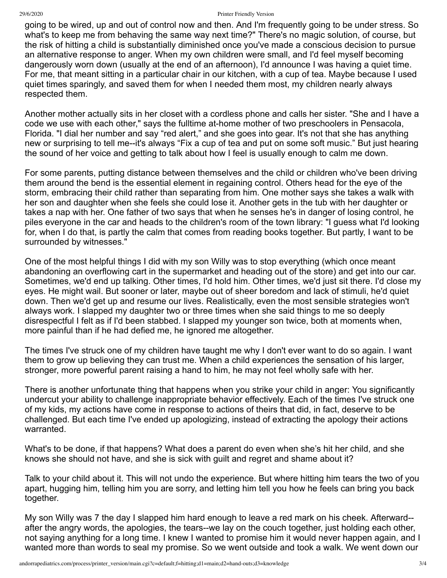#### 29/6/2020 Printer Friendly Version

going to be wired, up and out of control now and then. And I'm frequently going to be under stress. So what's to keep me from behaving the same way next time?" There's no magic solution, of course, but the risk of hitting a child is substantially diminished once you've made a conscious decision to pursue an alternative response to anger. When my own children were small, and I'd feel myself becoming dangerously worn down (usually at the end of an afternoon), I'd announce I was having a quiet time. For me, that meant sitting in a particular chair in our kitchen, with a cup of tea. Maybe because I used quiet times sparingly, and saved them for when I needed them most, my children nearly always respected them.

Another mother actually sits in her closet with a cordless phone and calls her sister. "She and I have a code we use with each other," says the fulltime at-home mother of two preschoolers in Pensacola, Florida. "I dial her number and say "red alert," and she goes into gear. It's not that she has anything new or surprising to tell me--it's always "Fix a cup of tea and put on some soft music." But just hearing the sound of her voice and getting to talk about how I feel is usually enough to calm me down.

For some parents, putting distance between themselves and the child or children who've been driving them around the bend is the essential element in regaining control. Others head for the eye of the storm, embracing their child rather than separating from him. One mother says she takes a walk with her son and daughter when she feels she could lose it. Another gets in the tub with her daughter or takes a nap with her. One father of two says that when he senses he's in danger of losing control, he piles everyone in the car and heads to the children's room of the town library: "I guess what I'd looking for, when I do that, is partly the calm that comes from reading books together. But partly, I want to be surrounded by witnesses."

One of the most helpful things I did with my son Willy was to stop everything (which once meant abandoning an overflowing cart in the supermarket and heading out of the store) and get into our car. Sometimes, we'd end up talking. Other times, I'd hold him. Other times, we'd just sit there. I'd close my eyes. He might wail. But sooner or later, maybe out of sheer boredom and lack of stimuli, he'd quiet down. Then we'd get up and resume our lives. Realistically, even the most sensible strategies won't always work. I slapped my daughter two or three times when she said things to me so deeply disrespectful I felt as if I'd been stabbed. I slapped my younger son twice, both at moments when, more painful than if he had defied me, he ignored me altogether.

The times I've struck one of my children have taught me why I don't ever want to do so again. I want them to grow up believing they can trust me. When a child experiences the sensation of his larger, stronger, more powerful parent raising a hand to him, he may not feel wholly safe with her.

There is another unfortunate thing that happens when you strike your child in anger: You significantly undercut your ability to challenge inappropriate behavior effectively. Each of the times I've struck one of my kids, my actions have come in response to actions of theirs that did, in fact, deserve to be challenged. But each time I've ended up apologizing, instead of extracting the apology their actions warranted.

What's to be done, if that happens? What does a parent do even when she's hit her child, and she knows she should not have, and she is sick with guilt and regret and shame about it?

Talk to your child about it. This will not undo the experience. But where hitting him tears the two of you apart, hugging him, telling him you are sorry, and letting him tell you how he feels can bring you back together.

My son Willy was 7 the day I slapped him hard enough to leave a red mark on his cheek. Afterward- after the angry words, the apologies, the tears--we lay on the couch together, just holding each other, not saying anything for a long time. I knew I wanted to promise him it would never happen again, and I wanted more than words to seal my promise. So we went outside and took a walk. We went down our